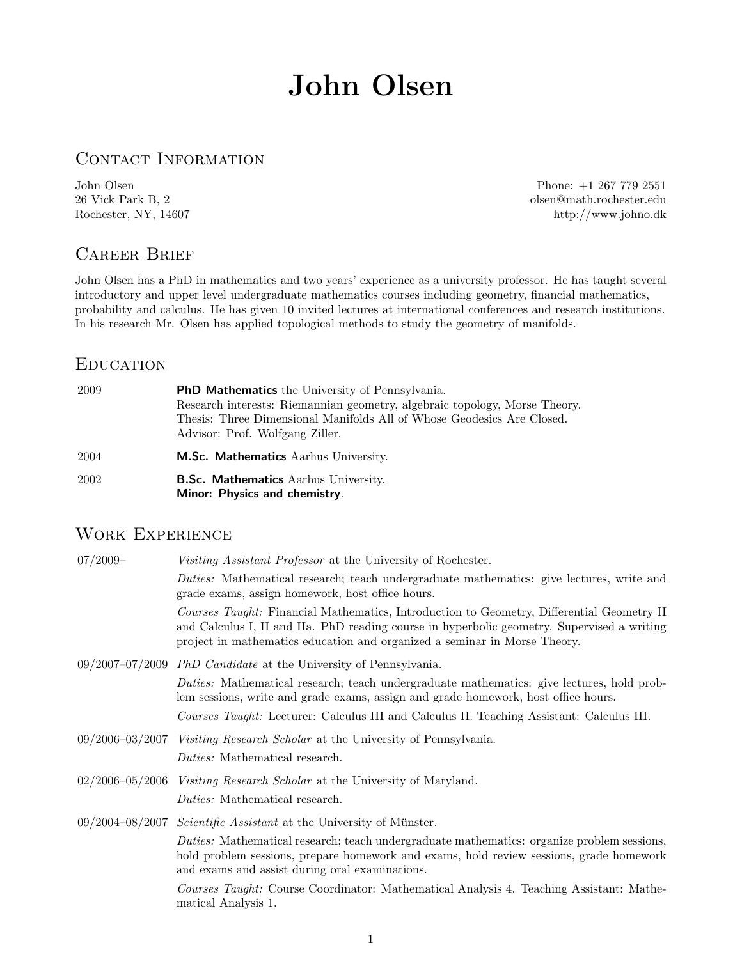# John Olsen

## CONTACT INFORMATION

John Olsen Phone: +1 267 779 2551 olsen@math.rochester.edu Rochester, NY, 14607 http://www.johno.dk

# Career Brief

John Olsen has a PhD in mathematics and two years' experience as a university professor. He has taught several introductory and upper level undergraduate mathematics courses including geometry, financial mathematics, probability and calculus. He has given 10 invited lectures at international conferences and research institutions. In his research Mr. Olsen has applied topological methods to study the geometry of manifolds.

### **EDUCATION**

| 2009 | <b>PhD Mathematics</b> the University of Pennsylvania.<br>Research interests: Riemannian geometry, algebraic topology, Morse Theory.<br>Thesis: Three Dimensional Manifolds All of Whose Geodesics Are Closed.<br>Advisor: Prof. Wolfgang Ziller. |
|------|---------------------------------------------------------------------------------------------------------------------------------------------------------------------------------------------------------------------------------------------------|
| 2004 | <b>M.Sc. Mathematics</b> Aarhus University.                                                                                                                                                                                                       |
| 2002 | <b>B.Sc. Mathematics</b> Aarhus University.<br>Minor: Physics and chemistry.                                                                                                                                                                      |

## WORK EXPERIENCE

| $07/2009-$          | Visiting Assistant Professor at the University of Rochester.                                                                                                                                                                                                          |
|---------------------|-----------------------------------------------------------------------------------------------------------------------------------------------------------------------------------------------------------------------------------------------------------------------|
|                     | Duties: Mathematical research; teach undergraduate mathematics: give lectures, write and<br>grade exams, assign homework, host office hours.                                                                                                                          |
|                     | Courses Taught: Financial Mathematics, Introduction to Geometry, Differential Geometry II<br>and Calculus I, II and IIa. PhD reading course in hyperbolic geometry. Supervised a writing<br>project in mathematics education and organized a seminar in Morse Theory. |
|                     | $09/2007-07/2009$ PhD Candidate at the University of Pennsylvania.                                                                                                                                                                                                    |
|                     | <i>Duties:</i> Mathematical research; teach undergraduate mathematics: give lectures, hold prob-<br>lem sessions, write and grade exams, assign and grade homework, host office hours.                                                                                |
|                     | Courses Taught: Lecturer: Calculus III and Calculus II. Teaching Assistant: Calculus III.                                                                                                                                                                             |
| $09/2006 - 03/2007$ | <i>Visiting Research Scholar</i> at the University of Pennsylvania.                                                                                                                                                                                                   |
|                     | <i>Duties:</i> Mathematical research.                                                                                                                                                                                                                                 |
| $02/2006 - 05/2006$ | Visiting Research Scholar at the University of Maryland.                                                                                                                                                                                                              |
|                     | <i>Duties:</i> Mathematical research.                                                                                                                                                                                                                                 |
|                     | $09/2004-08/2007$ <i>Scientific Assistant</i> at the University of Münster.                                                                                                                                                                                           |
|                     | Duties: Mathematical research; teach undergraduate mathematics: organize problem sessions,<br>hold problem sessions, prepare homework and exams, hold review sessions, grade homework<br>and exams and assist during oral examinations.                               |
|                     | Courses Taught: Course Coordinator: Mathematical Analysis 4. Teaching Assistant: Mathe-<br>matical Analysis 1.                                                                                                                                                        |